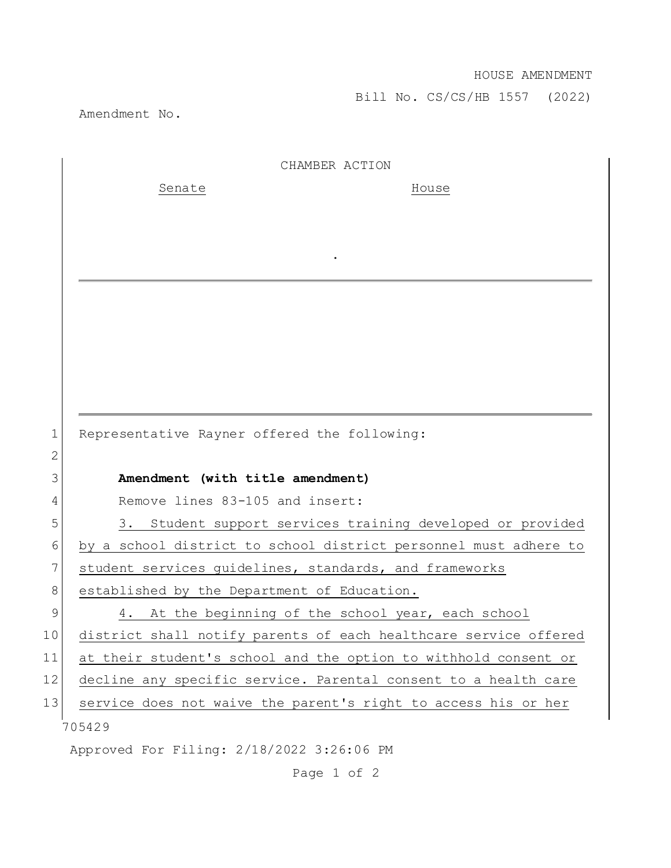Bill No. CS/CS/HB 1557 (2022)

Amendment No.

|                 | CHAMBER ACTION                                                   |
|-----------------|------------------------------------------------------------------|
|                 | Senate<br>House                                                  |
|                 |                                                                  |
|                 |                                                                  |
|                 |                                                                  |
|                 |                                                                  |
|                 |                                                                  |
|                 |                                                                  |
|                 |                                                                  |
|                 |                                                                  |
|                 |                                                                  |
| 1               | Representative Rayner offered the following:                     |
| $\mathbf{2}$    |                                                                  |
| 3               | Amendment (with title amendment)                                 |
| 4               | Remove lines 83-105 and insert:                                  |
| 5               | 3. Student support services training developed or provided       |
| 6               | by a school district to school district personnel must adhere to |
| 7               | student services guidelines, standards, and frameworks           |
| 8               | established by the Department of Education.                      |
| 9               | 4. At the beginning of the school year, each school              |
| 10 <sub>o</sub> | district shall notify parents of each healthcare service offered |
| 11              | at their student's school and the option to withhold consent or  |
| 12              | decline any specific service. Parental consent to a health care  |
| 13              | service does not waive the parent's right to access his or her   |
|                 | 705429                                                           |
|                 | Approved For Filing: 2/18/2022 3:26:06 PM                        |

Page 1 of 2